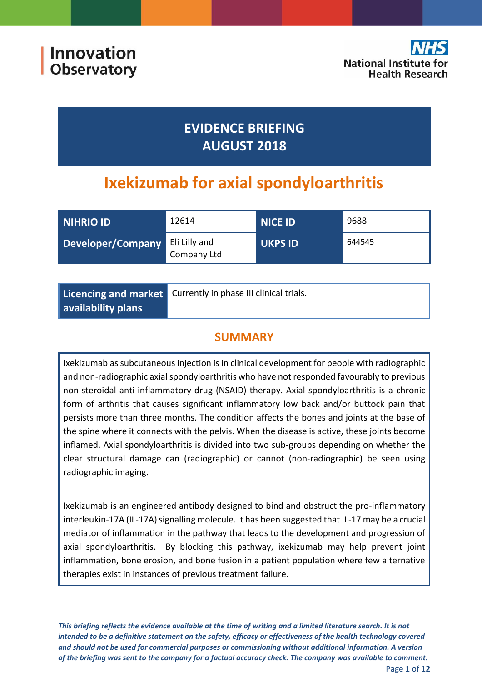

# **EVIDENCE BRIEFING AUGUST 2018**

# **Ixekizumab for axial spondyloarthritis**

| NIHRIO ID         | 12614                        | <b>NICE ID</b> | 9688   |
|-------------------|------------------------------|----------------|--------|
| Developer/Company | Eli Lilly and<br>Company Ltd | <b>UKPS ID</b> | 644545 |

|                    | Licencing and market Currently in phase III clinical trials. |
|--------------------|--------------------------------------------------------------|
| availability plans |                                                              |

# **SUMMARY**

Ixekizumab as subcutaneous injection is in clinical development for people with radiographic and non-radiographic axial spondyloarthritis who have not responded favourably to previous non-steroidal anti-inflammatory drug (NSAID) therapy. Axial spondyloarthritis is a chronic form of arthritis that causes significant inflammatory low back and/or buttock pain that persists more than three months. The condition affects the bones and joints at the base of the spine where it connects with the pelvis. When the disease is active, these joints become inflamed. Axial spondyloarthritis is divided into two sub-groups depending on whether the clear structural damage can (radiographic) or cannot (non-radiographic) be seen using radiographic imaging.

Ixekizumab is an engineered antibody designed to bind and obstruct the pro-inflammatory interleukin-17A (IL-17A) signalling molecule. It has been suggested that IL-17 may be a crucial mediator of inflammation in the pathway that leads to the development and progression of axial spondyloarthritis. By blocking this pathway, ixekizumab may help prevent joint inflammation, bone erosion, and bone fusion in a patient population where few alternative therapies exist in instances of previous treatment failure.

*This briefing reflects the evidence available at the time of writing and a limited literature search. It is not intended to be a definitive statement on the safety, efficacy or effectiveness of the health technology covered and should not be used for commercial purposes or commissioning without additional information. A version of the briefing was sent to the company for a factual accuracy check. The company was available to comment.* Page **1** of **12**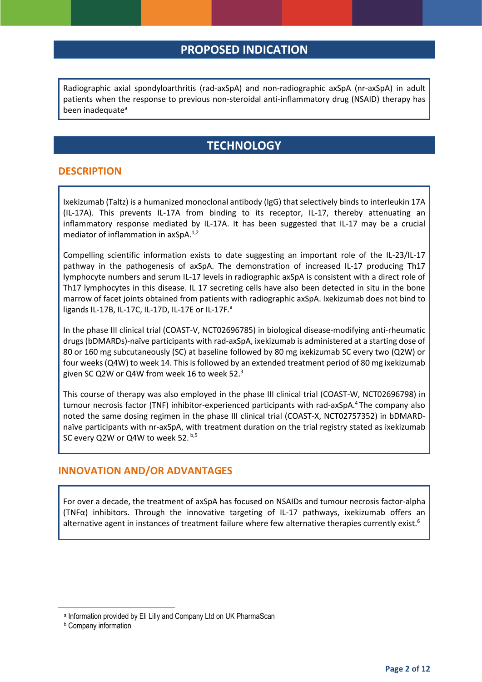### **PROPOSED INDICATION**

Radiographic axial spondyloarthritis (rad-axSpA) and non-radiographic axSpA (nr-axSpA) in adult patients when the response to previous non-steroidal anti-inflammatory drug (NSAID) therapy has been inadequate<sup>a</sup>

# <span id="page-1-0"></span>**TECHNOLOGY**

#### **DESCRIPTION**

Ixekizumab (Taltz) is a humanized monoclonal antibody (IgG) that selectively binds to interleukin 17A (IL-17A). This prevents IL-17A from binding to its receptor, IL-17, thereby attenuating an inflammatory response mediated by IL-17A. It has been suggested that IL-17 may be a crucial mediator of inflammation in axSpA.<sup>1,2</sup>

Compelling scientific information exists to date suggesting an important role of the IL-23/IL-17 pathway in the pathogenesis of axSpA. The demonstration of increased IL-17 producing Th17 lymphocyte numbers and serum IL-17 levels in radiographic axSpA is consistent with a direct role of Th17 lymphocytes in this disease. IL 17 secreting cells have also been detected in situ in the bone marrow of facet joints obtained from patients with radiographic axSpA. Ixekizumab does not bind to ligands IL-17B, IL-17C, IL-17D, IL-17E or IL-17F.<sup>a</sup>

In the phase III clinical trial (COAST-V, NCT02696785) in biological disease-modifying anti-rheumatic drugs (bDMARDs)-naïve participants with rad-axSpA, ixekizumab is administered at a starting dose of 80 or 160 mg subcutaneously (SC) at baseline followed by 80 mg ixekizumab SC every two (Q2W) or four weeks (Q4W) to week 14. This is followed by an extended treatment period of 80 mg ixekizumab given SC Q2W or Q4W from week 16 to week 52. $^3$ 

<span id="page-1-3"></span><span id="page-1-2"></span><span id="page-1-1"></span>This course of therapy was also employed in the phase III clinical trial (COAST-W, NCT02696798) in tumour necrosis factor (TNF) inhibitor-experienced participants with rad-axSpA. <sup>4</sup> The company also noted the same dosing regimen in the phase III clinical trial (COAST-X, NCT02757352) in bDMARDnaïve participants with nr-axSpA, with treatment duration on the trial registry stated as ixekizumab SC every Q2W or Q4W to week 52. b,5

#### **INNOVATION AND/OR ADVANTAGES**

For over a decade, the treatment of axSpA has focused on NSAIDs and tumour necrosis factor-alpha (TNFα) inhibitors. Through the innovative targeting of IL-17 pathways, ixekizumab offers an alternative agent in instances of treatment failure where few alternative therapies currently exist.<sup>6</sup>

**.** 

a Information provided by Eli Lilly and Company Ltd on UK PharmaScan

**b** Company information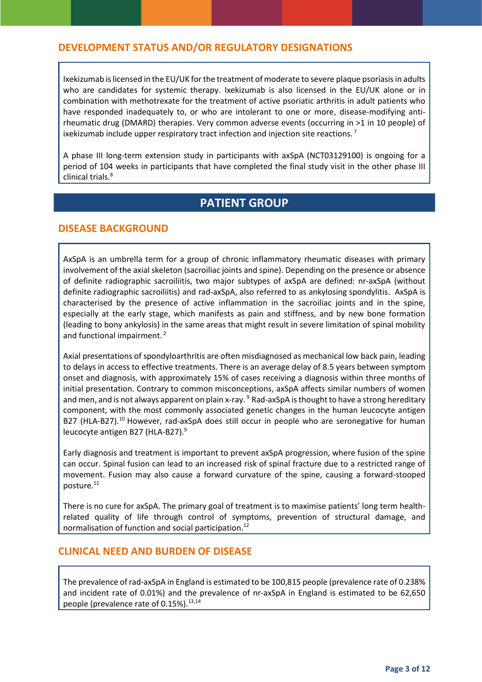### **DEVELOPMENT STATUS AND/OR REGULATORY DESIGNATIONS**

Ixekizumab is licensed in the EU/UK for the treatment of moderate to severe plaque psoriasis in adults who are candidates for systemic therapy. Ixekizumab is also licensed in the EU/UK alone or in combination with methotrexate for the treatment of active psoriatic arthritis in adult patients who have responded inadequately to, or who are intolerant to one or more, disease-modifying antirheumatic drug (DMARD) therapies. Very common adverse events (occurring in >1 in 10 people) of ixekizumab include upper respiratory tract infection and injection site reactions.<sup>7</sup>

<span id="page-2-1"></span>A phase III long-term extension study in participants with axSpA (NCT03129100) is ongoing for a period of 104 weeks in participants that have completed the final study visit in the other phase III clinical trials.<sup>8</sup>

# **PATIENT GROUP**

#### **DISEASE BACKGROUND**

AxSpA is an umbrella term for a group of chronic inflammatory rheumatic diseases with primary involvement of the axial skeleton (sacroiliac joints and spine). Depending on the presence or absence of definite radiographic sacroiliitis, two major subtypes of axSpA are defined: nr-axSpA (without definite radiographic sacroiliitis) and rad-axSpA, also referred to as ankylosing spondylitis. AxSpA is characterised by the presence of active inflammation in the sacroiliac joints and in the spine, especially at the early stage, which manifests as pain and stiffness, and by new bone formation (leading to bony ankylosis) in the same areas that might result in severe limitation of spinal mobility and functional impairment. [2](#page-1-0)

<span id="page-2-0"></span>Axial presentations of spondyloarthritis are often misdiagnosed as mechanical low back pain, leading to delays in access to effective treatments. There is an average delay of 8.5 years between symptom onset and diagnosis, with approximately 15% of cases receiving a diagnosis within three months of initial presentation. Contrary to common misconceptions, axSpA affects similar numbers of women and men, and is not always apparent on plain x-ray. <sup>9</sup> Rad-axSpA is thought to have a strong hereditary component, with the most commonly associated genetic changes in the human leucocyte antigen B27 (HLA-B27).<sup>10</sup> However, rad-axSpA does still occur in people who are seronegative for human leucocyte antigen B27 (HLA-B27)[.](#page-2-0)<sup>9</sup>

Early diagnosis and treatment is important to prevent axSpA progression, where fusion of the spine can occur. Spinal fusion can lead to an increased risk of spinal fracture due to a restricted range of movement. Fusion may also cause a forward curvature of the spine, causing a forward-stooped posture.<sup>11</sup>

There is no cure for axSpA. The primary goal of treatment is to maximise patients' long term healthrelated quality of life through control of symptoms, prevention of structural damage, and normalisation of function and social participation.<sup>12</sup>

#### **CLINICAL NEED AND BURDEN OF DISEASE**

The prevalence of rad-axSpA in England is estimated to be 100,815 people (prevalence rate of 0.238% and incident rate of 0.01%) and the prevalence of nr-axSpA in England is estimated to be 62,650 people (prevalence rate of 0.15%).<sup>13,14</sup>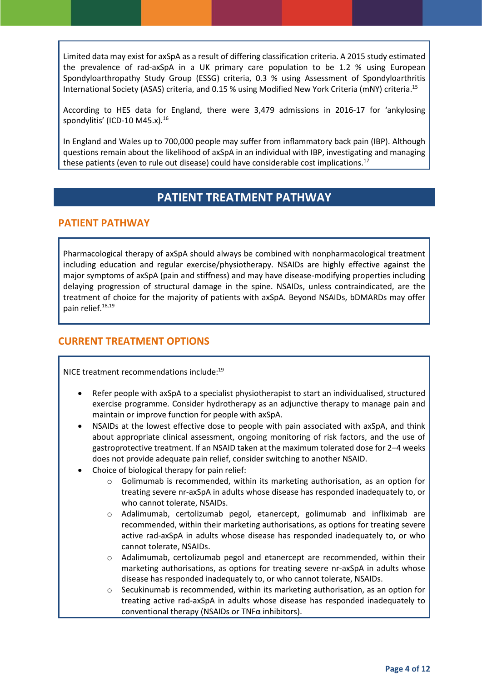Limited data may exist for axSpA as a result of differing classification criteria. A 2015 study estimated the prevalence of rad-axSpA in a UK primary care population to be 1.2 % using European Spondyloarthropathy Study Group (ESSG) criteria, 0.3 % using Assessment of Spondyloarthritis International Society (ASAS) criteria, and 0.15 % using Modified New York Criteria (mNY) criteria.<sup>15</sup>

According to HES data for England, there were 3,479 admissions in 2016-17 for 'ankylosing spondylitis' (ICD-10 M45.x). $16$ 

In England and Wales up to 700,000 people may suffer from inflammatory back pain (IBP). Although questions remain about the likelihood of axSpA in an individual with IBP, investigating and managing these patients (even to rule out disease) could have considerable cost implications.<sup>17</sup>

# **PATIENT TREATMENT PATHWAY**

#### **PATIENT PATHWAY**

Pharmacological therapy of axSpA should always be combined with nonpharmacological treatment including education and regular exercise/physiotherapy. NSAIDs are highly effective against the major symptoms of axSpA (pain and stiffness) and may have disease-modifying properties including delaying progression of structural damage in the spine. NSAIDs, unless contraindicated, are the treatment of choice for the majority of patients with axSpA. Beyond NSAIDs, bDMARDs may offer pain relief. 18,19

#### <span id="page-3-0"></span>**CURRENT TREATMENT OPTIONS**

NICE treatment recommendations include: [19](#page-3-0)

- Refer people with axSpA to a specialist physiotherapist to start an individualised, structured exercise programme. Consider hydrotherapy as an adjunctive therapy to manage pain and maintain or improve function for people with axSpA.
- NSAIDs at the lowest effective dose to people with pain associated with axSpA, and think about appropriate clinical assessment, ongoing monitoring of risk factors, and the use of gastroprotective treatment. If an NSAID taken at the maximum tolerated dose for 2–4 weeks does not provide adequate pain relief, consider switching to another NSAID.
- Choice of biological therapy for pain relief:
	- $\circ$  Golimumab is recommended, within its marketing authorisation, as an option for treating severe nr-axSpA in adults whose disease has responded inadequately to, or who cannot tolerate, NSAIDs.
	- o Adalimumab, certolizumab pegol, etanercept, golimumab and infliximab are recommended, within their marketing authorisations, as options for treating severe active rad-axSpA in adults whose disease has responded inadequately to, or who cannot tolerate, NSAIDs.
	- o Adalimumab, certolizumab pegol and etanercept are recommended, within their marketing authorisations, as options for treating severe nr-axSpA in adults whose disease has responded inadequately to, or who cannot tolerate, NSAIDs.
	- $\circ$  Secukinumab is recommended, within its marketing authorisation, as an option for treating active rad-axSpA in adults whose disease has responded inadequately to conventional therapy (NSAIDs or TNFα inhibitors).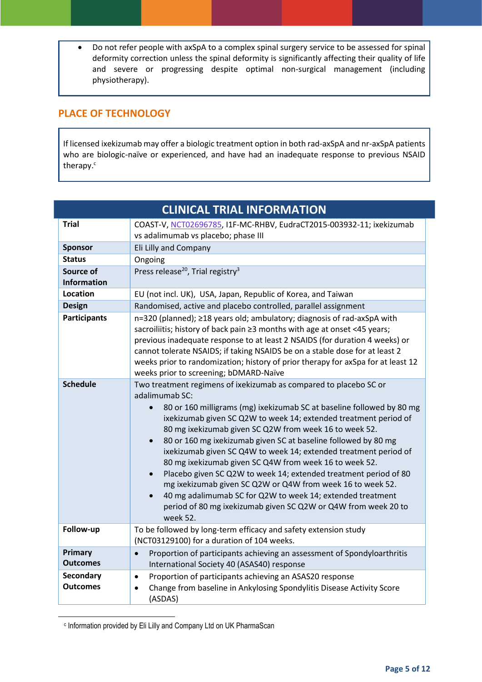Do not refer people with axSpA to a complex spinal surgery service to be assessed for spinal deformity correction unless the spinal deformity is significantly affecting their quality of life and severe or progressing despite optimal non-surgical management (including physiotherapy).

### **PLACE OF TECHNOLOGY**

If licensed ixekizumab may offer a biologic treatment option in both rad-axSpA and nr-axSpA patients who are biologic-naïve or experienced, and have had an inadequate response to previous NSAID therapy. c

|                                     | <b>CLINICAL TRIAL INFORMATION</b>                                                                                                                                                                                                                                                                                                                                                                                                                                                                                                                                                                                                                                                                                                                                                                               |
|-------------------------------------|-----------------------------------------------------------------------------------------------------------------------------------------------------------------------------------------------------------------------------------------------------------------------------------------------------------------------------------------------------------------------------------------------------------------------------------------------------------------------------------------------------------------------------------------------------------------------------------------------------------------------------------------------------------------------------------------------------------------------------------------------------------------------------------------------------------------|
| <b>Trial</b>                        | COAST-V, NCT02696785, I1F-MC-RHBV, EudraCT2015-003932-11; ixekizumab<br>vs adalimumab vs placebo; phase III                                                                                                                                                                                                                                                                                                                                                                                                                                                                                                                                                                                                                                                                                                     |
| <b>Sponsor</b>                      | Eli Lilly and Company                                                                                                                                                                                                                                                                                                                                                                                                                                                                                                                                                                                                                                                                                                                                                                                           |
| <b>Status</b>                       | Ongoing                                                                                                                                                                                                                                                                                                                                                                                                                                                                                                                                                                                                                                                                                                                                                                                                         |
| Source of<br><b>Information</b>     | Press release <sup>20</sup> , Trial registry <sup>3</sup>                                                                                                                                                                                                                                                                                                                                                                                                                                                                                                                                                                                                                                                                                                                                                       |
| Location                            | EU (not incl. UK), USA, Japan, Republic of Korea, and Taiwan                                                                                                                                                                                                                                                                                                                                                                                                                                                                                                                                                                                                                                                                                                                                                    |
| <b>Design</b>                       | Randomised, active and placebo controlled, parallel assignment                                                                                                                                                                                                                                                                                                                                                                                                                                                                                                                                                                                                                                                                                                                                                  |
| <b>Participants</b>                 | n=320 (planned); ≥18 years old; ambulatory; diagnosis of rad-axSpA with<br>sacroiliitis; history of back pain ≥3 months with age at onset <45 years;<br>previous inadequate response to at least 2 NSAIDS (for duration 4 weeks) or<br>cannot tolerate NSAIDS; if taking NSAIDS be on a stable dose for at least 2<br>weeks prior to randomization; history of prior therapy for axSpa for at least 12<br>weeks prior to screening; bDMARD-Naïve                                                                                                                                                                                                                                                                                                                                                                |
| <b>Schedule</b>                     | Two treatment regimens of ixekizumab as compared to placebo SC or<br>adalimumab SC:<br>80 or 160 milligrams (mg) ixekizumab SC at baseline followed by 80 mg<br>$\bullet$<br>ixekizumab given SC Q2W to week 14; extended treatment period of<br>80 mg ixekizumab given SC Q2W from week 16 to week 52.<br>80 or 160 mg ixekizumab given SC at baseline followed by 80 mg<br>$\bullet$<br>ixekizumab given SC Q4W to week 14; extended treatment period of<br>80 mg ixekizumab given SC Q4W from week 16 to week 52.<br>Placebo given SC Q2W to week 14; extended treatment period of 80<br>$\bullet$<br>mg ixekizumab given SC Q2W or Q4W from week 16 to week 52.<br>40 mg adalimumab SC for Q2W to week 14; extended treatment<br>period of 80 mg ixekizumab given SC Q2W or Q4W from week 20 to<br>week 52. |
| Follow-up                           | To be followed by long-term efficacy and safety extension study<br>(NCT03129100) for a duration of 104 weeks.                                                                                                                                                                                                                                                                                                                                                                                                                                                                                                                                                                                                                                                                                                   |
| Primary<br><b>Outcomes</b>          | Proportion of participants achieving an assessment of Spondyloarthritis<br>$\bullet$<br>International Society 40 (ASAS40) response                                                                                                                                                                                                                                                                                                                                                                                                                                                                                                                                                                                                                                                                              |
| <b>Secondary</b><br><b>Outcomes</b> | Proportion of participants achieving an ASAS20 response<br>$\bullet$<br>Change from baseline in Ankylosing Spondylitis Disease Activity Score<br>(ASDAS)                                                                                                                                                                                                                                                                                                                                                                                                                                                                                                                                                                                                                                                        |

c Information provided by Eli Lilly and Company Ltd on UK PharmaScan

**.**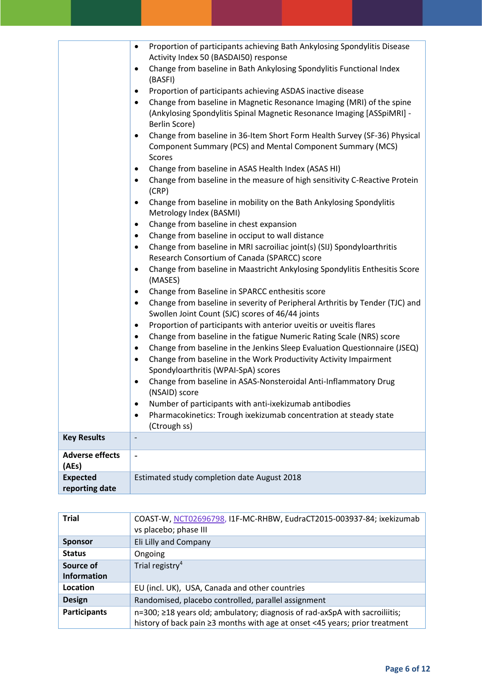|                        | Proportion of participants achieving Bath Ankylosing Spondylitis Disease<br>$\bullet$<br>Activity Index 50 (BASDAI50) response<br>Change from baseline in Bath Ankylosing Spondylitis Functional Index<br>$\bullet$<br>(BASFI)<br>Proportion of participants achieving ASDAS inactive disease<br>$\bullet$<br>Change from baseline in Magnetic Resonance Imaging (MRI) of the spine<br>$\bullet$<br>(Ankylosing Spondylitis Spinal Magnetic Resonance Imaging [ASSpiMRI] -<br>Berlin Score)<br>Change from baseline in 36-Item Short Form Health Survey (SF-36) Physical<br>$\bullet$<br>Component Summary (PCS) and Mental Component Summary (MCS)<br>Scores<br>Change from baseline in ASAS Health Index (ASAS HI)<br>$\bullet$<br>Change from baseline in the measure of high sensitivity C-Reactive Protein<br>$\bullet$<br>(CRP)<br>Change from baseline in mobility on the Bath Ankylosing Spondylitis<br>$\bullet$<br>Metrology Index (BASMI)<br>Change from baseline in chest expansion<br>$\bullet$<br>Change from baseline in occiput to wall distance<br>$\bullet$<br>Change from baseline in MRI sacroiliac joint(s) (SIJ) Spondyloarthritis<br>$\bullet$<br>Research Consortium of Canada (SPARCC) score<br>Change from baseline in Maastricht Ankylosing Spondylitis Enthesitis Score<br>$\bullet$<br>(MASES)<br>Change from Baseline in SPARCC enthesitis score<br>$\bullet$<br>Change from baseline in severity of Peripheral Arthritis by Tender (TJC) and<br>$\bullet$<br>Swollen Joint Count (SJC) scores of 46/44 joints<br>Proportion of participants with anterior uveitis or uveitis flares<br>$\bullet$<br>Change from baseline in the fatigue Numeric Rating Scale (NRS) score<br>$\bullet$<br>Change from baseline in the Jenkins Sleep Evaluation Questionnaire (JSEQ)<br>$\bullet$<br>Change from baseline in the Work Productivity Activity Impairment<br>$\bullet$<br>Spondyloarthritis (WPAI-SpA) scores<br>Change from baseline in ASAS-Nonsteroidal Anti-Inflammatory Drug<br>(NSAID) score<br>Number of participants with anti-ixekizumab antibodies<br>٠ |
|------------------------|---------------------------------------------------------------------------------------------------------------------------------------------------------------------------------------------------------------------------------------------------------------------------------------------------------------------------------------------------------------------------------------------------------------------------------------------------------------------------------------------------------------------------------------------------------------------------------------------------------------------------------------------------------------------------------------------------------------------------------------------------------------------------------------------------------------------------------------------------------------------------------------------------------------------------------------------------------------------------------------------------------------------------------------------------------------------------------------------------------------------------------------------------------------------------------------------------------------------------------------------------------------------------------------------------------------------------------------------------------------------------------------------------------------------------------------------------------------------------------------------------------------------------------------------------------------------------------------------------------------------------------------------------------------------------------------------------------------------------------------------------------------------------------------------------------------------------------------------------------------------------------------------------------------------------------------------------------------------------------------------------------------------------------------------------------------------------------------------|
|                        | Pharmacokinetics: Trough ixekizumab concentration at steady state<br>$\bullet$<br>(Ctrough ss)                                                                                                                                                                                                                                                                                                                                                                                                                                                                                                                                                                                                                                                                                                                                                                                                                                                                                                                                                                                                                                                                                                                                                                                                                                                                                                                                                                                                                                                                                                                                                                                                                                                                                                                                                                                                                                                                                                                                                                                              |
| <b>Key Results</b>     | $\overline{\phantom{m}}$                                                                                                                                                                                                                                                                                                                                                                                                                                                                                                                                                                                                                                                                                                                                                                                                                                                                                                                                                                                                                                                                                                                                                                                                                                                                                                                                                                                                                                                                                                                                                                                                                                                                                                                                                                                                                                                                                                                                                                                                                                                                    |
|                        |                                                                                                                                                                                                                                                                                                                                                                                                                                                                                                                                                                                                                                                                                                                                                                                                                                                                                                                                                                                                                                                                                                                                                                                                                                                                                                                                                                                                                                                                                                                                                                                                                                                                                                                                                                                                                                                                                                                                                                                                                                                                                             |
| <b>Adverse effects</b> | $\overline{\phantom{0}}$                                                                                                                                                                                                                                                                                                                                                                                                                                                                                                                                                                                                                                                                                                                                                                                                                                                                                                                                                                                                                                                                                                                                                                                                                                                                                                                                                                                                                                                                                                                                                                                                                                                                                                                                                                                                                                                                                                                                                                                                                                                                    |
| (AEs)                  |                                                                                                                                                                                                                                                                                                                                                                                                                                                                                                                                                                                                                                                                                                                                                                                                                                                                                                                                                                                                                                                                                                                                                                                                                                                                                                                                                                                                                                                                                                                                                                                                                                                                                                                                                                                                                                                                                                                                                                                                                                                                                             |
| <b>Expected</b>        | Estimated study completion date August 2018                                                                                                                                                                                                                                                                                                                                                                                                                                                                                                                                                                                                                                                                                                                                                                                                                                                                                                                                                                                                                                                                                                                                                                                                                                                                                                                                                                                                                                                                                                                                                                                                                                                                                                                                                                                                                                                                                                                                                                                                                                                 |
| reporting date         |                                                                                                                                                                                                                                                                                                                                                                                                                                                                                                                                                                                                                                                                                                                                                                                                                                                                                                                                                                                                                                                                                                                                                                                                                                                                                                                                                                                                                                                                                                                                                                                                                                                                                                                                                                                                                                                                                                                                                                                                                                                                                             |

| <b>Trial</b>        | COAST-W, NCT02696798, I1F-MC-RHBW, EudraCT2015-003937-84; ixekizumab                                                                                       |
|---------------------|------------------------------------------------------------------------------------------------------------------------------------------------------------|
|                     | vs placebo; phase III                                                                                                                                      |
| <b>Sponsor</b>      | Eli Lilly and Company                                                                                                                                      |
| <b>Status</b>       | Ongoing                                                                                                                                                    |
| Source of           | Trial registry <sup>4</sup>                                                                                                                                |
| <b>Information</b>  |                                                                                                                                                            |
| Location            | EU (incl. UK), USA, Canada and other countries                                                                                                             |
| <b>Design</b>       | Randomised, placebo controlled, parallel assignment                                                                                                        |
| <b>Participants</b> | n=300; ≥18 years old; ambulatory; diagnosis of rad-axSpA with sacroiliitis;<br>history of back pain ≥3 months with age at onset <45 years; prior treatment |
|                     |                                                                                                                                                            |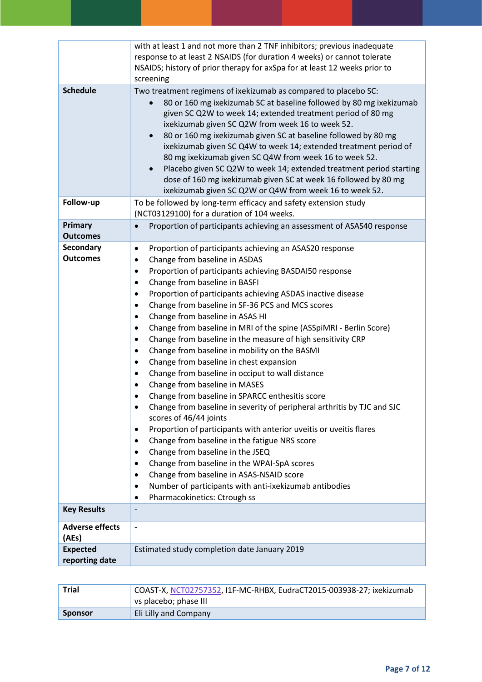|                                     | with at least 1 and not more than 2 TNF inhibitors; previous inadequate<br>response to at least 2 NSAIDS (for duration 4 weeks) or cannot tolerate<br>NSAIDS; history of prior therapy for axSpa for at least 12 weeks prior to                                                                                                                                                                                                                                                                                                                                                                                                                                                                                                                                                                                                                                                                                                                                                                                                                                                                                                                                                                                                                                                                                                                                                                                                               |
|-------------------------------------|-----------------------------------------------------------------------------------------------------------------------------------------------------------------------------------------------------------------------------------------------------------------------------------------------------------------------------------------------------------------------------------------------------------------------------------------------------------------------------------------------------------------------------------------------------------------------------------------------------------------------------------------------------------------------------------------------------------------------------------------------------------------------------------------------------------------------------------------------------------------------------------------------------------------------------------------------------------------------------------------------------------------------------------------------------------------------------------------------------------------------------------------------------------------------------------------------------------------------------------------------------------------------------------------------------------------------------------------------------------------------------------------------------------------------------------------------|
|                                     | screening                                                                                                                                                                                                                                                                                                                                                                                                                                                                                                                                                                                                                                                                                                                                                                                                                                                                                                                                                                                                                                                                                                                                                                                                                                                                                                                                                                                                                                     |
| <b>Schedule</b>                     | Two treatment regimens of ixekizumab as compared to placebo SC:<br>80 or 160 mg ixekizumab SC at baseline followed by 80 mg ixekizumab<br>given SC Q2W to week 14; extended treatment period of 80 mg<br>ixekizumab given SC Q2W from week 16 to week 52.<br>80 or 160 mg ixekizumab given SC at baseline followed by 80 mg<br>ixekizumab given SC Q4W to week 14; extended treatment period of<br>80 mg ixekizumab given SC Q4W from week 16 to week 52.<br>Placebo given SC Q2W to week 14; extended treatment period starting<br>dose of 160 mg ixekizumab given SC at week 16 followed by 80 mg<br>ixekizumab given SC Q2W or Q4W from week 16 to week 52.                                                                                                                                                                                                                                                                                                                                                                                                                                                                                                                                                                                                                                                                                                                                                                                |
| Follow-up                           | To be followed by long-term efficacy and safety extension study<br>(NCT03129100) for a duration of 104 weeks.                                                                                                                                                                                                                                                                                                                                                                                                                                                                                                                                                                                                                                                                                                                                                                                                                                                                                                                                                                                                                                                                                                                                                                                                                                                                                                                                 |
| Primary<br><b>Outcomes</b>          | Proportion of participants achieving an assessment of ASAS40 response<br>$\bullet$                                                                                                                                                                                                                                                                                                                                                                                                                                                                                                                                                                                                                                                                                                                                                                                                                                                                                                                                                                                                                                                                                                                                                                                                                                                                                                                                                            |
| <b>Secondary</b><br><b>Outcomes</b> | Proportion of participants achieving an ASAS20 response<br>$\bullet$<br>Change from baseline in ASDAS<br>$\bullet$<br>Proportion of participants achieving BASDAI50 response<br>$\bullet$<br>Change from baseline in BASFI<br>$\bullet$<br>Proportion of participants achieving ASDAS inactive disease<br>$\bullet$<br>Change from baseline in SF-36 PCS and MCS scores<br>$\bullet$<br>Change from baseline in ASAS HI<br>$\bullet$<br>Change from baseline in MRI of the spine (ASSpiMRI - Berlin Score)<br>$\bullet$<br>Change from baseline in the measure of high sensitivity CRP<br>$\bullet$<br>Change from baseline in mobility on the BASMI<br>$\bullet$<br>Change from baseline in chest expansion<br>$\bullet$<br>Change from baseline in occiput to wall distance<br>$\bullet$<br>Change from baseline in MASES<br>٠<br>Change from baseline in SPARCC enthesitis score<br>$\bullet$<br>Change from baseline in severity of peripheral arthritis by TJC and SJC<br>٠<br>scores of 46/44 joints<br>Proportion of participants with anterior uveitis or uveitis flares<br>$\bullet$<br>Change from baseline in the fatigue NRS score<br>٠<br>Change from baseline in the JSEQ<br>$\bullet$<br>Change from baseline in the WPAI-SpA scores<br>$\bullet$<br>Change from baseline in ASAS-NSAID score<br>$\bullet$<br>Number of participants with anti-ixekizumab antibodies<br>$\bullet$<br>Pharmacokinetics: Ctrough ss<br>$\bullet$ |
| <b>Key Results</b>                  |                                                                                                                                                                                                                                                                                                                                                                                                                                                                                                                                                                                                                                                                                                                                                                                                                                                                                                                                                                                                                                                                                                                                                                                                                                                                                                                                                                                                                                               |
| <b>Adverse effects</b><br>(AEs)     | $\overline{\phantom{a}}$                                                                                                                                                                                                                                                                                                                                                                                                                                                                                                                                                                                                                                                                                                                                                                                                                                                                                                                                                                                                                                                                                                                                                                                                                                                                                                                                                                                                                      |
| <b>Expected</b><br>reporting date   | Estimated study completion date January 2019                                                                                                                                                                                                                                                                                                                                                                                                                                                                                                                                                                                                                                                                                                                                                                                                                                                                                                                                                                                                                                                                                                                                                                                                                                                                                                                                                                                                  |

| <b>Trial</b>   | COAST-X, NCT02757352, I1F-MC-RHBX, EudraCT2015-003938-27; ixekizumab<br>vs placebo; phase III |
|----------------|-----------------------------------------------------------------------------------------------|
| <b>Sponsor</b> | Eli Lilly and Company                                                                         |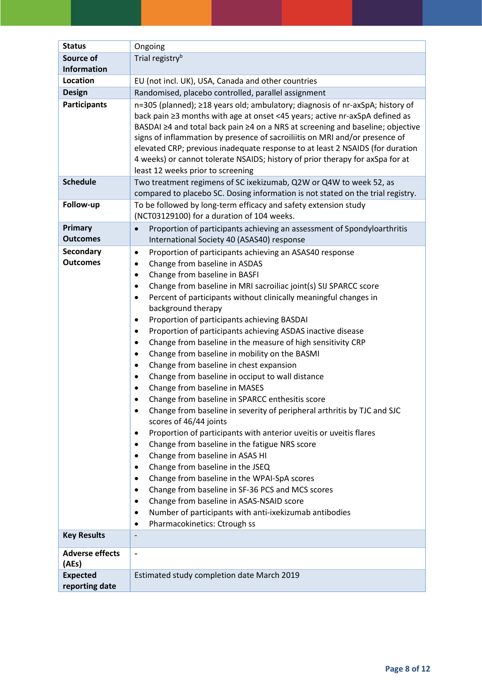| <b>Status</b>                       | Ongoing                                                                                                                                                                                                                                                                                                                                                                                                                                                                                                                                                                                                                                                                                                                                                                                                                                                                                                                                                                                                                                                                                                                                                                                                                                                                                                                                                                                                                  |
|-------------------------------------|--------------------------------------------------------------------------------------------------------------------------------------------------------------------------------------------------------------------------------------------------------------------------------------------------------------------------------------------------------------------------------------------------------------------------------------------------------------------------------------------------------------------------------------------------------------------------------------------------------------------------------------------------------------------------------------------------------------------------------------------------------------------------------------------------------------------------------------------------------------------------------------------------------------------------------------------------------------------------------------------------------------------------------------------------------------------------------------------------------------------------------------------------------------------------------------------------------------------------------------------------------------------------------------------------------------------------------------------------------------------------------------------------------------------------|
| Source of                           | Trial registry <sup>b</sup>                                                                                                                                                                                                                                                                                                                                                                                                                                                                                                                                                                                                                                                                                                                                                                                                                                                                                                                                                                                                                                                                                                                                                                                                                                                                                                                                                                                              |
| <b>Information</b>                  |                                                                                                                                                                                                                                                                                                                                                                                                                                                                                                                                                                                                                                                                                                                                                                                                                                                                                                                                                                                                                                                                                                                                                                                                                                                                                                                                                                                                                          |
| Location                            | EU (not incl. UK), USA, Canada and other countries                                                                                                                                                                                                                                                                                                                                                                                                                                                                                                                                                                                                                                                                                                                                                                                                                                                                                                                                                                                                                                                                                                                                                                                                                                                                                                                                                                       |
| <b>Design</b>                       | Randomised, placebo controlled, parallel assignment                                                                                                                                                                                                                                                                                                                                                                                                                                                                                                                                                                                                                                                                                                                                                                                                                                                                                                                                                                                                                                                                                                                                                                                                                                                                                                                                                                      |
| <b>Participants</b>                 | n=305 (planned); ≥18 years old; ambulatory; diagnosis of nr-axSpA; history of<br>back pain ≥3 months with age at onset <45 years; active nr-axSpA defined as<br>BASDAI ≥4 and total back pain ≥4 on a NRS at screening and baseline; objective<br>signs of inflammation by presence of sacroiliitis on MRI and/or presence of<br>elevated CRP; previous inadequate response to at least 2 NSAIDS (for duration<br>4 weeks) or cannot tolerate NSAIDS; history of prior therapy for axSpa for at<br>least 12 weeks prior to screening                                                                                                                                                                                                                                                                                                                                                                                                                                                                                                                                                                                                                                                                                                                                                                                                                                                                                     |
| <b>Schedule</b>                     | Two treatment regimens of SC ixekizumab, Q2W or Q4W to week 52, as<br>compared to placebo SC. Dosing information is not stated on the trial registry.                                                                                                                                                                                                                                                                                                                                                                                                                                                                                                                                                                                                                                                                                                                                                                                                                                                                                                                                                                                                                                                                                                                                                                                                                                                                    |
| Follow-up                           | To be followed by long-term efficacy and safety extension study<br>(NCT03129100) for a duration of 104 weeks.                                                                                                                                                                                                                                                                                                                                                                                                                                                                                                                                                                                                                                                                                                                                                                                                                                                                                                                                                                                                                                                                                                                                                                                                                                                                                                            |
| Primary                             | Proportion of participants achieving an assessment of Spondyloarthritis<br>$\bullet$                                                                                                                                                                                                                                                                                                                                                                                                                                                                                                                                                                                                                                                                                                                                                                                                                                                                                                                                                                                                                                                                                                                                                                                                                                                                                                                                     |
| <b>Outcomes</b>                     | International Society 40 (ASAS40) response                                                                                                                                                                                                                                                                                                                                                                                                                                                                                                                                                                                                                                                                                                                                                                                                                                                                                                                                                                                                                                                                                                                                                                                                                                                                                                                                                                               |
| <b>Secondary</b><br><b>Outcomes</b> | Proportion of participants achieving an ASAS40 response<br>$\bullet$                                                                                                                                                                                                                                                                                                                                                                                                                                                                                                                                                                                                                                                                                                                                                                                                                                                                                                                                                                                                                                                                                                                                                                                                                                                                                                                                                     |
|                                     | Change from baseline in ASDAS<br>$\bullet$<br>Change from baseline in BASFI<br>$\bullet$<br>Change from baseline in MRI sacroiliac joint(s) SIJ SPARCC score<br>$\bullet$<br>Percent of participants without clinically meaningful changes in<br>$\bullet$<br>background therapy<br>Proportion of participants achieving BASDAI<br>$\bullet$<br>Proportion of participants achieving ASDAS inactive disease<br>$\bullet$<br>Change from baseline in the measure of high sensitivity CRP<br>$\bullet$<br>Change from baseline in mobility on the BASMI<br>$\bullet$<br>Change from baseline in chest expansion<br>$\bullet$<br>Change from baseline in occiput to wall distance<br>$\bullet$<br>Change from baseline in MASES<br>Change from baseline in SPARCC enthesitis score<br>Change from baseline in severity of peripheral arthritis by TJC and SJC<br>$\bullet$<br>scores of 46/44 joints<br>Proportion of participants with anterior uveitis or uveitis flares<br>٠<br>Change from baseline in the fatigue NRS score<br>Change from baseline in ASAS HI<br>$\bullet$<br>Change from baseline in the JSEQ<br>$\bullet$<br>Change from baseline in the WPAI-SpA scores<br>٠<br>Change from baseline in SF-36 PCS and MCS scores<br>$\bullet$<br>Change from baseline in ASAS-NSAID score<br>$\bullet$<br>Number of participants with anti-ixekizumab antibodies<br>٠<br>Pharmacokinetics: Ctrough ss<br>$\bullet$ |
| <b>Key Results</b>                  |                                                                                                                                                                                                                                                                                                                                                                                                                                                                                                                                                                                                                                                                                                                                                                                                                                                                                                                                                                                                                                                                                                                                                                                                                                                                                                                                                                                                                          |
| <b>Adverse effects</b><br>(AEs)     | $\overline{\phantom{a}}$                                                                                                                                                                                                                                                                                                                                                                                                                                                                                                                                                                                                                                                                                                                                                                                                                                                                                                                                                                                                                                                                                                                                                                                                                                                                                                                                                                                                 |
| <b>Expected</b>                     | Estimated study completion date March 2019                                                                                                                                                                                                                                                                                                                                                                                                                                                                                                                                                                                                                                                                                                                                                                                                                                                                                                                                                                                                                                                                                                                                                                                                                                                                                                                                                                               |
| reporting date                      |                                                                                                                                                                                                                                                                                                                                                                                                                                                                                                                                                                                                                                                                                                                                                                                                                                                                                                                                                                                                                                                                                                                                                                                                                                                                                                                                                                                                                          |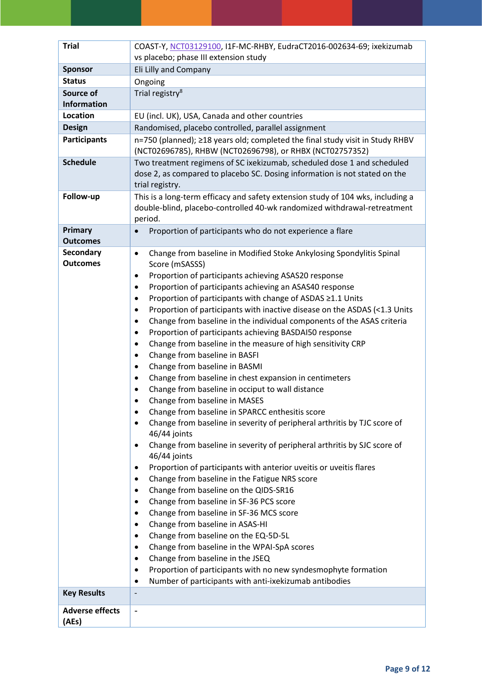| <b>Trial</b>                        | COAST-Y, NCT03129100, I1F-MC-RHBY, EudraCT2016-002634-69; ixekizumab<br>vs placebo; phase III extension study                                                            |
|-------------------------------------|--------------------------------------------------------------------------------------------------------------------------------------------------------------------------|
| <b>Sponsor</b>                      | Eli Lilly and Company                                                                                                                                                    |
| <b>Status</b>                       | Ongoing                                                                                                                                                                  |
| Source of<br><b>Information</b>     | Trial registry <sup>8</sup>                                                                                                                                              |
| Location                            | EU (incl. UK), USA, Canada and other countries                                                                                                                           |
| <b>Design</b>                       | Randomised, placebo controlled, parallel assignment                                                                                                                      |
| <b>Participants</b>                 | n=750 (planned); ≥18 years old; completed the final study visit in Study RHBV<br>(NCT02696785), RHBW (NCT02696798), or RHBX (NCT02757352)                                |
| <b>Schedule</b>                     | Two treatment regimens of SC ixekizumab, scheduled dose 1 and scheduled<br>dose 2, as compared to placebo SC. Dosing information is not stated on the<br>trial registry. |
| Follow-up                           | This is a long-term efficacy and safety extension study of 104 wks, including a<br>double-blind, placebo-controlled 40-wk randomized withdrawal-retreatment<br>period.   |
| Primary                             | Proportion of participants who do not experience a flare                                                                                                                 |
| <b>Outcomes</b>                     |                                                                                                                                                                          |
| <b>Secondary</b><br><b>Outcomes</b> | Change from baseline in Modified Stoke Ankylosing Spondylitis Spinal<br>$\bullet$                                                                                        |
|                                     | Score (mSASSS)<br>Proportion of participants achieving ASAS20 response<br>$\bullet$                                                                                      |
|                                     | Proportion of participants achieving an ASAS40 response                                                                                                                  |
|                                     | Proportion of participants with change of ASDAS ≥1.1 Units<br>$\bullet$                                                                                                  |
|                                     | Proportion of participants with inactive disease on the ASDAS (<1.3 Units<br>$\bullet$                                                                                   |
|                                     | Change from baseline in the individual components of the ASAS criteria<br>$\bullet$                                                                                      |
|                                     | Proportion of participants achieving BASDAI50 response                                                                                                                   |
|                                     | Change from baseline in the measure of high sensitivity CRP<br>$\bullet$                                                                                                 |
|                                     | Change from baseline in BASFI<br>$\bullet$                                                                                                                               |
|                                     | Change from baseline in BASMI                                                                                                                                            |
|                                     | Change from baseline in chest expansion in centimeters<br>$\bullet$                                                                                                      |
|                                     | Change from baseline in occiput to wall distance                                                                                                                         |
|                                     | Change from baseline in MASES                                                                                                                                            |
|                                     | Change from baseline in SPARCC enthesitis score                                                                                                                          |
|                                     | Change from baseline in severity of peripheral arthritis by TJC score of                                                                                                 |
|                                     | 46/44 joints<br>Change from baseline in severity of peripheral arthritis by SJC score of<br>$\bullet$                                                                    |
|                                     | 46/44 joints                                                                                                                                                             |
|                                     | Proportion of participants with anterior uveitis or uveitis flares                                                                                                       |
|                                     | Change from baseline in the Fatigue NRS score                                                                                                                            |
|                                     | Change from baseline on the QIDS-SR16<br>٠                                                                                                                               |
|                                     | Change from baseline in SF-36 PCS score<br>Change from baseline in SF-36 MCS score                                                                                       |
|                                     | Change from baseline in ASAS-HI                                                                                                                                          |
|                                     | Change from baseline on the EQ-5D-5L<br>$\bullet$                                                                                                                        |
|                                     | Change from baseline in the WPAI-SpA scores<br>٠                                                                                                                         |
|                                     | Change from baseline in the JSEQ<br>٠                                                                                                                                    |
|                                     | Proportion of participants with no new syndesmophyte formation                                                                                                           |
|                                     | Number of participants with anti-ixekizumab antibodies<br>٠                                                                                                              |
| <b>Key Results</b>                  |                                                                                                                                                                          |
| <b>Adverse effects</b><br>(AEs)     |                                                                                                                                                                          |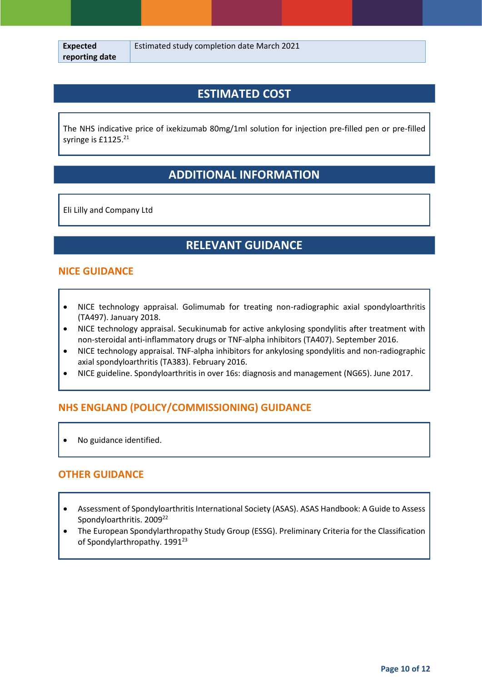### **ESTIMATED COST**

The NHS indicative price of ixekizumab 80mg/1ml solution for injection pre-filled pen or pre-filled syringe is £1125.<sup>21</sup>

# **ADDITIONAL INFORMATION**

Eli Lilly and Company Ltd

# **RELEVANT GUIDANCE**

### **NICE GUIDANCE**

- NICE technology appraisal. Golimumab for treating non-radiographic axial spondyloarthritis (TA497). January 2018.
- NICE technology appraisal. Secukinumab for active ankylosing spondylitis after treatment with non-steroidal anti-inflammatory drugs or TNF-alpha inhibitors (TA407). September 2016.
- NICE technology appraisal. TNF-alpha inhibitors for ankylosing spondylitis and non-radiographic axial spondyloarthritis (TA383). February 2016.
- NICE guideline. Spondyloarthritis in over 16s: diagnosis and management (NG65). June 2017.

### **NHS ENGLAND (POLICY/COMMISSIONING) GUIDANCE**

• No guidance identified.

#### **OTHER GUIDANCE**

- Assessment of Spondyloarthritis International Society (ASAS). ASAS Handbook: A Guide to Assess Spondyloarthritis. 2009<sup>22</sup>
- The European Spondylarthropathy Study Group (ESSG). Preliminary Criteria for the Classification of Spondylarthropathy. 1991<sup>23</sup>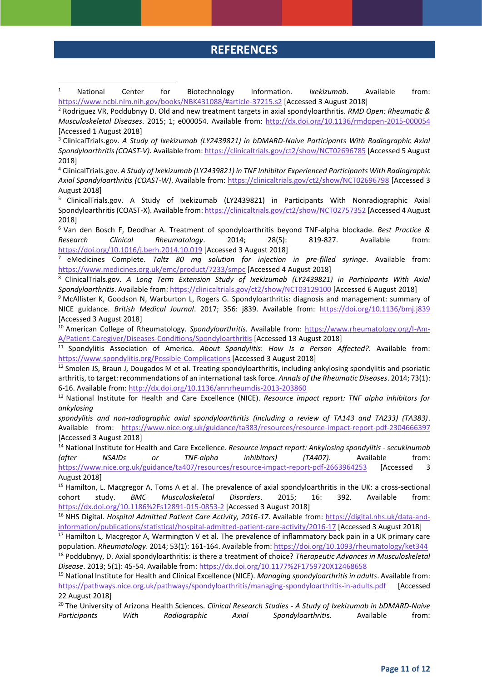### **REFERENCES**

<sup>1</sup> National Center for Biotechnology Information. *Ixekizumab*. Available from: <https://www.ncbi.nlm.nih.gov/books/NBK431088/#article-37215.s2> [Accessed 3 August 2018]

1

<sup>2</sup> Rodriguez VR, Poddubnyy D. Old and new treatment targets in axial spondyloarthritis. *RMD Open: Rheumatic & Musculoskeletal Diseases*. 2015; 1; e000054. Available from: <http://dx.doi.org/10.1136/rmdopen-2015-000054> [Accessed 1 August 2018]

<sup>3</sup> ClinicalTrials.gov. *A Study of Ixekizumab (LY2439821) in bDMARD-Naive Participants With Radiographic Axial Spondyloarthritis (COAST-V)*. Available from:<https://clinicaltrials.gov/ct2/show/NCT02696785> [Accessed 5 August 2018]

<sup>4</sup> ClinicalTrials.gov. *A Study of Ixekizumab (LY2439821) in TNF Inhibitor Experienced Participants With Radiographic Axial Spondyloarthritis (COAST-W)*. Available from:<https://clinicaltrials.gov/ct2/show/NCT02696798> [Accessed 3 August 2018]

<sup>5</sup> ClinicalTrials.gov. A Study of Ixekizumab (LY2439821) in Participants With Nonradiographic Axial Spondyloarthritis (COAST-X). Available from: <https://clinicaltrials.gov/ct2/show/NCT02757352> [Accessed 4 August 2018]

<sup>6</sup> Van den Bosch F, Deodhar A. Treatment of spondyloarthritis beyond TNF-alpha blockade. *Best Practice & Research Clinical Rheumatology*. 2014; 28(5): 819-827. Available from: <https://doi.org/10.1016/j.berh.2014.10.019> [Accessed 3 August 2018]

<sup>7</sup> eMedicines Complete. *Taltz 80 mg solution for injection in pre-filled syringe*. Available from: <https://www.medicines.org.uk/emc/product/7233/smpc> [Accessed 4 August 2018]

<sup>8</sup> ClinicalTrials.gov. *A Long Term Extension Study of Ixekizumab (LY2439821) in Participants With Axial Spondyloarthritis*. Available from: <https://clinicaltrials.gov/ct2/show/NCT03129100> [Accessed 6 August 2018]

<sup>9</sup> McAllister K, Goodson N, Warburton L, Rogers G. Spondyloarthritis: diagnosis and management: summary of NICE guidance. *British Medical Journal*. 2017; 356: j839. Available from: <https://doi.org/10.1136/bmj.j839> [Accessed 3 August 2018]

<sup>10</sup> American College of Rheumatology. *Spondyloarthritis.* Available from: [https://www.rheumatology.org/I-Am-](https://www.rheumatology.org/I-Am-A/Patient-Caregiver/Diseases-Conditions/Spondyloarthritis)[A/Patient-Caregiver/Diseases-Conditions/Spondyloarthritis](https://www.rheumatology.org/I-Am-A/Patient-Caregiver/Diseases-Conditions/Spondyloarthritis) [Accessed 13 August 2018]

<sup>11</sup> Spondylitis Association of America. *About Spondylitis*: *How Is a Person Affected?*. Available from: <https://www.spondylitis.org/Possible-Complications> [Accessed 3 August 2018]

<sup>12</sup> Smolen JS, Braun J, Dougados M et al. Treating spondyloarthritis, including ankylosing spondylitis and psoriatic arthritis, to target: recommendations of an international task force. *Annals of the Rheumatic Diseases*. 2014; 73(1): 6-16. Available from:<http://dx.doi.org/10.1136/annrheumdis-2013-203860>

<sup>13</sup> National Institute for Health and Care Excellence (NICE). *Resource impact report: TNF alpha inhibitors for ankylosing*

*spondylitis and non-radiographic axial spondyloarthritis (including a review of TA143 and TA233) (TA383)*. Available from: <https://www.nice.org.uk/guidance/ta383/resources/resource-impact-report-pdf-2304666397> [Accessed 3 August 2018]

<sup>14</sup> National Institute for Health and Care Excellence. *Resource impact report: Ankylosing spondylitis - secukinumab (after NSAIDs or TNF-alpha inhibitors) (TA407)*. Available from:

<https://www.nice.org.uk/guidance/ta407/resources/resource-impact-report-pdf-2663964253> [Accessed 3 August 2018]

<sup>15</sup> Hamilton, L. Macgregor A, Toms A et al. The prevalence of axial spondyloarthritis in the UK: a cross-sectional cohort study. *BMC Musculoskeletal Disorders*. 2015; 16: 392. Available from: <https://dx.doi.org/10.1186%2Fs12891-015-0853-2> [Accessed 3 August 2018]

<sup>16</sup> NHS Digital. *Hospital Admitted Patient Care Activity, 2016-17*. Available from: [https://digital.nhs.uk/data-and](https://digital.nhs.uk/data-and-information/publications/statistical/hospital-admitted-patient-care-activity/2016-17)[information/publications/statistical/hospital-admitted-patient-care-activity/2016-17](https://digital.nhs.uk/data-and-information/publications/statistical/hospital-admitted-patient-care-activity/2016-17) [Accessed 3 August 2018]

<sup>17</sup> Hamilton L, Macgregor A, Warmington V et al. The prevalence of inflammatory back pain in a UK primary care population. *Rheumatology*. 2014; 53(1): 161-164. Available from[: https://doi.org/10.1093/rheumatology/ket344](https://doi.org/10.1093/rheumatology/ket344) <sup>18</sup> Poddubnyy, D. Axial spondyloarthritis: is there a treatment of choice? *Therapeutic Advances in Musculoskeletal Disease*. 2013; 5(1): 45-54. Available from:<https://dx.doi.org/10.1177%2F1759720X12468658>

<sup>19</sup> National Institute for Health and Clinical Excellence (NICE). *Managing spondyloarthritis in adults*. Available from: <https://pathways.nice.org.uk/pathways/spondyloarthritis/managing-spondyloarthritis-in-adults.pdf> [Accessed 22 August 2018]

<sup>20</sup> The University of Arizona Health Sciences. *Clinical Research Studies - A Study of Ixekizumab in bDMARD-Naive Participants With Radiographic Axial Spondyloarthriti*s. Available from: